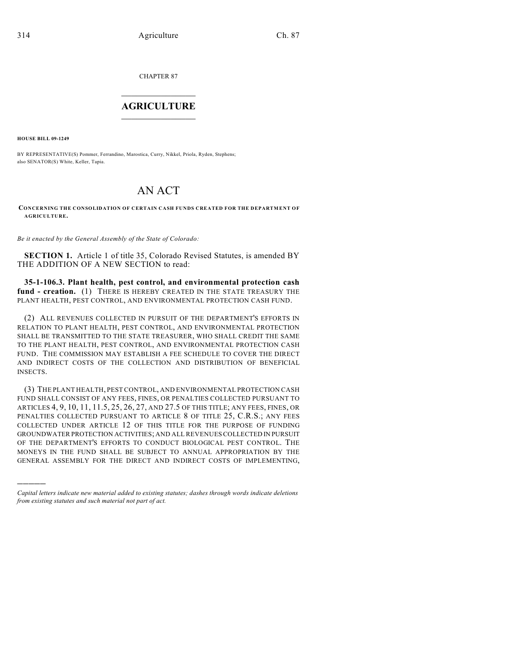CHAPTER 87

## $\overline{\phantom{a}}$  . The set of the set of the set of the set of the set of the set of the set of the set of the set of the set of the set of the set of the set of the set of the set of the set of the set of the set of the set o **AGRICULTURE**  $\_$   $\_$   $\_$   $\_$   $\_$   $\_$   $\_$   $\_$

**HOUSE BILL 09-1249**

)))))

BY REPRESENTATIVE(S) Pommer, Ferrandino, Marostica, Curry, Nikkel, Priola, Ryden, Stephens; also SENATOR(S) White, Keller, Tapia.

# AN ACT

**CONCERNING THE CONSOLIDATION OF CERTAIN CASH FUNDS CREATED FOR THE DEPARTMENT OF AGRICULTURE.**

*Be it enacted by the General Assembly of the State of Colorado:*

**SECTION 1.** Article 1 of title 35, Colorado Revised Statutes, is amended BY THE ADDITION OF A NEW SECTION to read:

**35-1-106.3. Plant health, pest control, and environmental protection cash fund - creation.** (1) THERE IS HEREBY CREATED IN THE STATE TREASURY THE PLANT HEALTH, PEST CONTROL, AND ENVIRONMENTAL PROTECTION CASH FUND.

(2) ALL REVENUES COLLECTED IN PURSUIT OF THE DEPARTMENT'S EFFORTS IN RELATION TO PLANT HEALTH, PEST CONTROL, AND ENVIRONMENTAL PROTECTION SHALL BE TRANSMITTED TO THE STATE TREASURER, WHO SHALL CREDIT THE SAME TO THE PLANT HEALTH, PEST CONTROL, AND ENVIRONMENTAL PROTECTION CASH FUND. THE COMMISSION MAY ESTABLISH A FEE SCHEDULE TO COVER THE DIRECT AND INDIRECT COSTS OF THE COLLECTION AND DISTRIBUTION OF BENEFICIAL INSECTS.

(3) THE PLANT HEALTH, PEST CONTROL, AND ENVIRONMENTAL PROTECTION CASH FUND SHALL CONSIST OF ANY FEES, FINES, OR PENALTIES COLLECTED PURSUANT TO ARTICLES 4, 9, 10, 11, 11.5, 25, 26, 27, AND 27.5 OF THIS TITLE; ANY FEES, FINES, OR PENALTIES COLLECTED PURSUANT TO ARTICLE 8 OF TITLE 25, C.R.S.; ANY FEES COLLECTED UNDER ARTICLE 12 OF THIS TITLE FOR THE PURPOSE OF FUNDING GROUNDWATER PROTECTION ACTIVITIES; AND ALL REVENUES COLLECTED IN PURSUIT OF THE DEPARTMENT'S EFFORTS TO CONDUCT BIOLOGICAL PEST CONTROL. THE MONEYS IN THE FUND SHALL BE SUBJECT TO ANNUAL APPROPRIATION BY THE GENERAL ASSEMBLY FOR THE DIRECT AND INDIRECT COSTS OF IMPLEMENTING,

*Capital letters indicate new material added to existing statutes; dashes through words indicate deletions from existing statutes and such material not part of act.*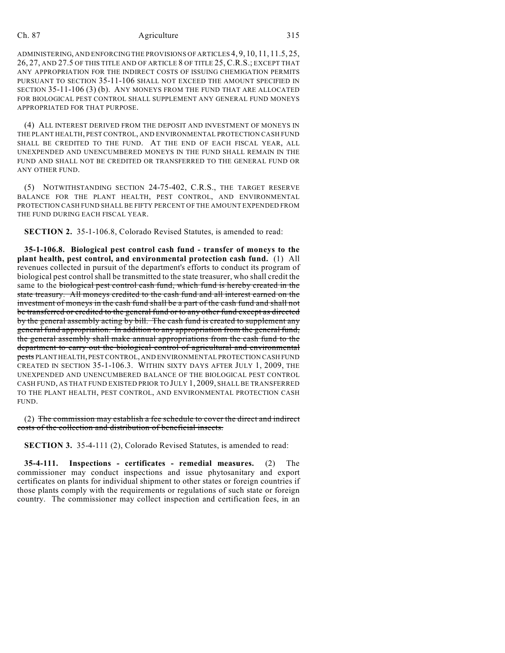#### Ch. 87 Agriculture 315

ADMINISTERING, AND ENFORCING THE PROVISIONS OF ARTICLES 4, 9, 10, 11, 11.5, 25, 26, 27, AND 27.5 OF THIS TITLE AND OF ARTICLE 8 OF TITLE 25, C.R.S.; EXCEPT THAT ANY APPROPRIATION FOR THE INDIRECT COSTS OF ISSUING CHEMIGATION PERMITS PURSUANT TO SECTION 35-11-106 SHALL NOT EXCEED THE AMOUNT SPECIFIED IN SECTION 35-11-106 (3) (b). ANY MONEYS FROM THE FUND THAT ARE ALLOCATED FOR BIOLOGICAL PEST CONTROL SHALL SUPPLEMENT ANY GENERAL FUND MONEYS APPROPRIATED FOR THAT PURPOSE.

(4) ALL INTEREST DERIVED FROM THE DEPOSIT AND INVESTMENT OF MONEYS IN THE PLANT HEALTH, PEST CONTROL, AND ENVIRONMENTAL PROTECTION CASH FUND SHALL BE CREDITED TO THE FUND. AT THE END OF EACH FISCAL YEAR, ALL UNEXPENDED AND UNENCUMBERED MONEYS IN THE FUND SHALL REMAIN IN THE FUND AND SHALL NOT BE CREDITED OR TRANSFERRED TO THE GENERAL FUND OR ANY OTHER FUND.

(5) NOTWITHSTANDING SECTION 24-75-402, C.R.S., THE TARGET RESERVE BALANCE FOR THE PLANT HEALTH, PEST CONTROL, AND ENVIRONMENTAL PROTECTION CASH FUND SHALL BE FIFTY PERCENT OF THE AMOUNT EXPENDED FROM THE FUND DURING EACH FISCAL YEAR.

**SECTION 2.** 35-1-106.8, Colorado Revised Statutes, is amended to read:

**35-1-106.8. Biological pest control cash fund - transfer of moneys to the plant health, pest control, and environmental protection cash fund.** (1) All revenues collected in pursuit of the department's efforts to conduct its program of biological pest control shall be transmitted to the state treasurer, who shall credit the same to the biological pest control cash fund, which fund is hereby created in the state treasury. All moneys credited to the cash fund and all interest earned on the investment of moneys in the cash fund shall be a part of the cash fund and shall not be transferred or credited to the general fund or to any other fund except as directed by the general assembly acting by bill. The cash fund is created to supplement any general fund appropriation. In addition to any appropriation from the general fund, the general assembly shall make annual appropriations from the cash fund to the department to carry out the biological control of agricultural and environmental pests PLANT HEALTH, PEST CONTROL, AND ENVIRONMENTAL PROTECTION CASH FUND CREATED IN SECTION 35-1-106.3. WITHIN SIXTY DAYS AFTER JULY 1, 2009, THE UNEXPENDED AND UNENCUMBERED BALANCE OF THE BIOLOGICAL PEST CONTROL CASH FUND, AS THAT FUND EXISTED PRIOR TO JULY 1, 2009, SHALL BE TRANSFERRED TO THE PLANT HEALTH, PEST CONTROL, AND ENVIRONMENTAL PROTECTION CASH FUND.

(2) The commission may establish a fee schedule to cover the direct and indirect costs of the collection and distribution of beneficial insects.

**SECTION 3.** 35-4-111 (2), Colorado Revised Statutes, is amended to read:

**35-4-111. Inspections - certificates - remedial measures.** (2) The commissioner may conduct inspections and issue phytosanitary and export certificates on plants for individual shipment to other states or foreign countries if those plants comply with the requirements or regulations of such state or foreign country. The commissioner may collect inspection and certification fees, in an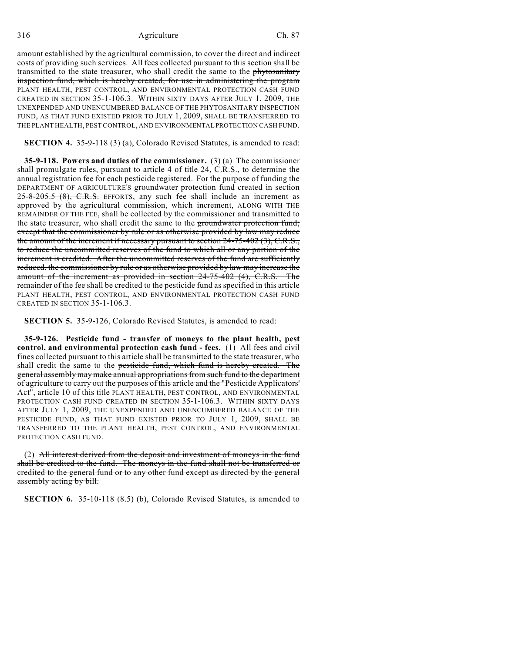316 Agriculture Ch. 87

amount established by the agricultural commission, to cover the direct and indirect costs of providing such services. All fees collected pursuant to this section shall be transmitted to the state treasurer, who shall credit the same to the phytosanitary inspection fund, which is hereby created, for use in administering the program PLANT HEALTH, PEST CONTROL, AND ENVIRONMENTAL PROTECTION CASH FUND CREATED IN SECTION 35-1-106.3. WITHIN SIXTY DAYS AFTER JULY 1, 2009, THE UNEXPENDED AND UNENCUMBERED BALANCE OF THE PHYTOSANITARY INSPECTION FUND, AS THAT FUND EXISTED PRIOR TO JULY 1, 2009, SHALL BE TRANSFERRED TO THE PLANT HEALTH, PEST CONTROL, AND ENVIRONMENTAL PROTECTION CASH FUND.

**SECTION 4.** 35-9-118 (3) (a), Colorado Revised Statutes, is amended to read:

**35-9-118. Powers and duties of the commissioner.** (3) (a) The commissioner shall promulgate rules, pursuant to article 4 of title 24, C.R.S., to determine the annual registration fee for each pesticide registered. For the purpose of funding the DEPARTMENT OF AGRICULTURE'S groundwater protection fund created in section  $25-8-205.5$  (8), C.R.S. EFFORTS, any such fee shall include an increment as approved by the agricultural commission, which increment, ALONG WITH THE REMAINDER OF THE FEE, shall be collected by the commissioner and transmitted to the state treasurer, who shall credit the same to the groundwater protection fund; except that the commissioner by rule or as otherwise provided by law may reduce the amount of the increment if necessary pursuant to section  $24-75-402(3)$ , C.R.S., to reduce the uncommitted reserves of the fund to which all or any portion of the increment is credited. After the uncommitted reserves of the fund are sufficiently reduced, the commissioner by rule or as otherwise provided by law may increase the amount of the increment as provided in section 24-75-402 (4), C.R.S. The remainder of the fee shall be credited to the pesticide fund as specified in this article PLANT HEALTH, PEST CONTROL, AND ENVIRONMENTAL PROTECTION CASH FUND CREATED IN SECTION 35-1-106.3.

**SECTION 5.** 35-9-126, Colorado Revised Statutes, is amended to read:

**35-9-126. Pesticide fund - transfer of moneys to the plant health, pest control, and environmental protection cash fund - fees.** (1) All fees and civil fines collected pursuant to this article shall be transmitted to the state treasurer, who shall credit the same to the pesticide fund, which fund is hereby created. The general assembly may make annual appropriations from such fund to the department of agriculture to carry out the purposes of this article and the "Pesticide Applicators' Act", article 10 of this title PLANT HEALTH, PEST CONTROL, AND ENVIRONMENTAL PROTECTION CASH FUND CREATED IN SECTION 35-1-106.3. WITHIN SIXTY DAYS AFTER JULY 1, 2009, THE UNEXPENDED AND UNENCUMBERED BALANCE OF THE PESTICIDE FUND, AS THAT FUND EXISTED PRIOR TO JULY 1, 2009, SHALL BE TRANSFERRED TO THE PLANT HEALTH, PEST CONTROL, AND ENVIRONMENTAL PROTECTION CASH FUND.

(2) All interest derived from the deposit and investment of moneys in the fund shall be credited to the fund. The moneys in the fund shall not be transferred or credited to the general fund or to any other fund except as directed by the general assembly acting by bill.

**SECTION 6.** 35-10-118 (8.5) (b), Colorado Revised Statutes, is amended to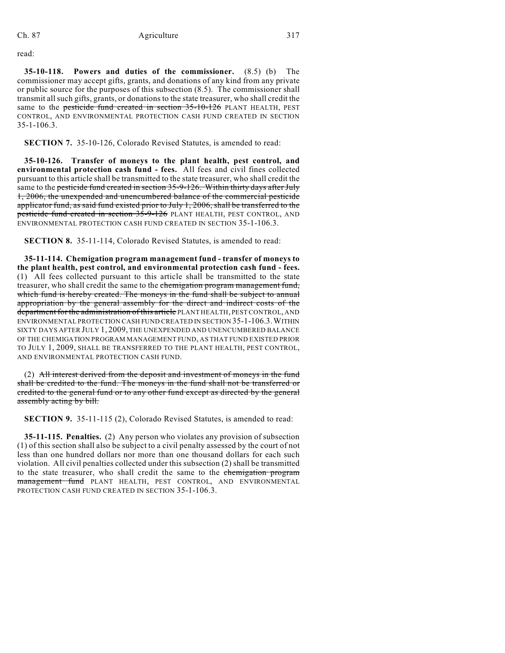read:

**35-10-118. Powers and duties of the commissioner.** (8.5) (b) The commissioner may accept gifts, grants, and donations of any kind from any private or public source for the purposes of this subsection (8.5). The commissioner shall transmit all such gifts, grants, or donations to the state treasurer, who shall credit the same to the pesticide fund created in section 35-10-126 PLANT HEALTH, PEST CONTROL, AND ENVIRONMENTAL PROTECTION CASH FUND CREATED IN SECTION 35-1-106.3.

**SECTION 7.** 35-10-126, Colorado Revised Statutes, is amended to read:

**35-10-126. Transfer of moneys to the plant health, pest control, and environmental protection cash fund - fees.** All fees and civil fines collected pursuant to this article shall be transmitted to the state treasurer, who shall credit the same to the pesticide fund created in section 35-9-126. Within thirty days after July 1, 2006, the unexpended and unencumbered balance of the commercial pesticide applicator fund, as said fund existed prior to July 1, 2006, shall be transferred to the pesticide fund created in section 35-9-126 PLANT HEALTH, PEST CONTROL, AND ENVIRONMENTAL PROTECTION CASH FUND CREATED IN SECTION 35-1-106.3.

**SECTION 8.** 35-11-114, Colorado Revised Statutes, is amended to read:

**35-11-114. Chemigation program management fund - transfer of moneys to the plant health, pest control, and environmental protection cash fund - fees.** (1) All fees collected pursuant to this article shall be transmitted to the state treasurer, who shall credit the same to the chemigation program management fund, which fund is hereby created. The moneys in the fund shall be subject to annual appropriation by the general assembly for the direct and indirect costs of the department for the administration of this article PLANT HEALTH, PEST CONTROL, AND ENVIRONMENTAL PROTECTION CASH FUND CREATED IN SECTION 35-1-106.3.WITHIN SIXTY DAYS AFTER JULY 1, 2009, THE UNEXPENDED AND UNENCUMBERED BALANCE OF THE CHEMIGATION PROGRAM MANAGEMENT FUND, AS THAT FUND EXISTED PRIOR TO JULY 1, 2009, SHALL BE TRANSFERRED TO THE PLANT HEALTH, PEST CONTROL, AND ENVIRONMENTAL PROTECTION CASH FUND.

(2) All interest derived from the deposit and investment of moneys in the fund shall be credited to the fund. The moneys in the fund shall not be transferred or credited to the general fund or to any other fund except as directed by the general assembly acting by bill.

**SECTION 9.** 35-11-115 (2), Colorado Revised Statutes, is amended to read:

**35-11-115. Penalties.** (2) Any person who violates any provision of subsection (1) of this section shall also be subject to a civil penalty assessed by the court of not less than one hundred dollars nor more than one thousand dollars for each such violation. All civil penalties collected under this subsection (2) shall be transmitted to the state treasurer, who shall credit the same to the chemigation program management fund PLANT HEALTH, PEST CONTROL, AND ENVIRONMENTAL PROTECTION CASH FUND CREATED IN SECTION 35-1-106.3.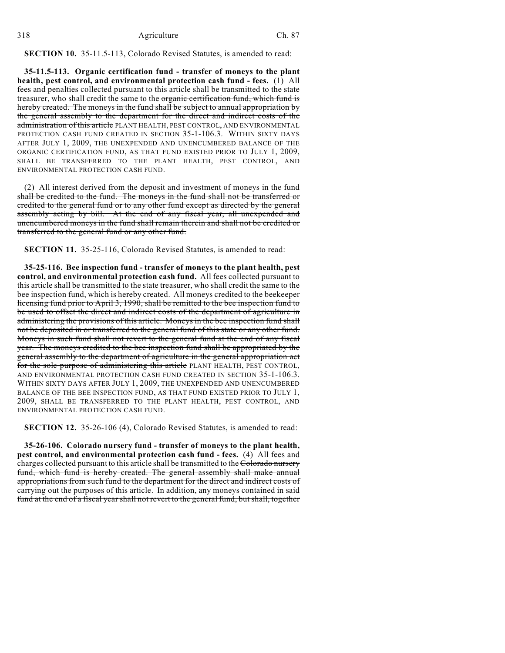## **SECTION 10.** 35-11.5-113, Colorado Revised Statutes, is amended to read:

**35-11.5-113. Organic certification fund - transfer of moneys to the plant health, pest control, and environmental protection cash fund - fees.** (1) All fees and penalties collected pursuant to this article shall be transmitted to the state treasurer, who shall credit the same to the organic certification fund, which fund is hereby created. The moneys in the fund shall be subject to annual appropriation by the general assembly to the department for the direct and indirect costs of the administration of this article PLANT HEALTH, PEST CONTROL, AND ENVIRONMENTAL PROTECTION CASH FUND CREATED IN SECTION 35-1-106.3. WITHIN SIXTY DAYS AFTER JULY 1, 2009, THE UNEXPENDED AND UNENCUMBERED BALANCE OF THE ORGANIC CERTIFICATION FUND, AS THAT FUND EXISTED PRIOR TO JULY 1, 2009, SHALL BE TRANSFERRED TO THE PLANT HEALTH, PEST CONTROL, AND ENVIRONMENTAL PROTECTION CASH FUND.

(2) All interest derived from the deposit and investment of moneys in the fund shall be credited to the fund. The moneys in the fund shall not be transferred or credited to the general fund or to any other fund except as directed by the general assembly acting by bill. At the end of any fiscal year, all unexpended and unencumbered moneys in the fund shall remain therein and shall not be credited or transferred to the general fund or any other fund.

**SECTION 11.** 35-25-116, Colorado Revised Statutes, is amended to read:

**35-25-116. Bee inspection fund - transfer of moneys to the plant health, pest control, and environmental protection cash fund.** All fees collected pursuant to this article shall be transmitted to the state treasurer, who shall credit the same to the bee inspection fund, which is hereby created. All moneys credited to the beekeeper licensing fund prior to April 3, 1990, shall be remitted to the bee inspection fund to be used to offset the direct and indirect costs of the department of agriculture in administering the provisions of this article. Moneys in the bee inspection fund shall not be deposited in or transferred to the general fund of this state or any other fund. Moneys in such fund shall not revert to the general fund at the end of any fiscal year. The moneys credited to the bee inspection fund shall be appropriated by the general assembly to the department of agriculture in the general appropriation act for the sole purpose of administering this article PLANT HEALTH, PEST CONTROL, AND ENVIRONMENTAL PROTECTION CASH FUND CREATED IN SECTION 35-1-106.3. WITHIN SIXTY DAYS AFTER JULY 1, 2009, THE UNEXPENDED AND UNENCUMBERED BALANCE OF THE BEE INSPECTION FUND, AS THAT FUND EXISTED PRIOR TO JULY 1, 2009, SHALL BE TRANSFERRED TO THE PLANT HEALTH, PEST CONTROL, AND ENVIRONMENTAL PROTECTION CASH FUND.

**SECTION 12.** 35-26-106 (4), Colorado Revised Statutes, is amended to read:

**35-26-106. Colorado nursery fund - transfer of moneys to the plant health, pest control, and environmental protection cash fund - fees.** (4) All fees and charges collected pursuant to this article shall be transmitted to the Colorado nursery fund, which fund is hereby created. The general assembly shall make annual appropriations from such fund to the department for the direct and indirect costs of carrying out the purposes of this article. In addition, any moneys contained in said fund at the end of a fiscal year shall not revert to the general fund, but shall, together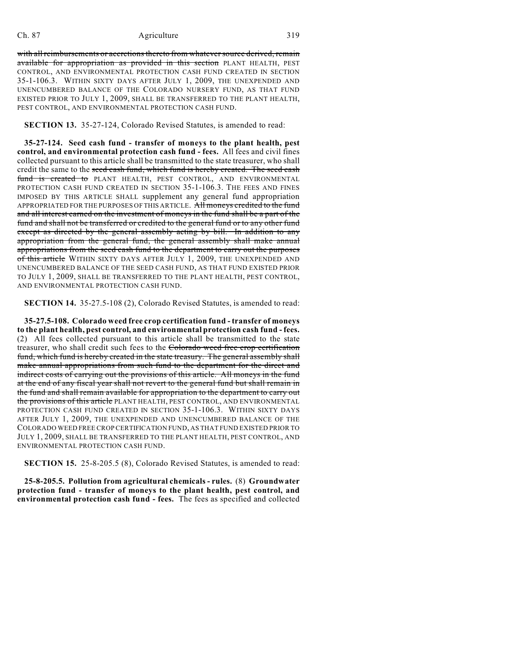### Ch. 87 Agriculture 319

with all reimbursements or accretions thereto from whatever source derived, remain available for appropriation as provided in this section PLANT HEALTH, PEST CONTROL, AND ENVIRONMENTAL PROTECTION CASH FUND CREATED IN SECTION 35-1-106.3. WITHIN SIXTY DAYS AFTER JULY 1, 2009, THE UNEXPENDED AND UNENCUMBERED BALANCE OF THE COLORADO NURSERY FUND, AS THAT FUND EXISTED PRIOR TO JULY 1, 2009, SHALL BE TRANSFERRED TO THE PLANT HEALTH, PEST CONTROL, AND ENVIRONMENTAL PROTECTION CASH FUND.

**SECTION 13.** 35-27-124, Colorado Revised Statutes, is amended to read:

**35-27-124. Seed cash fund - transfer of moneys to the plant health, pest control, and environmental protection cash fund - fees.** All fees and civil fines collected pursuant to this article shall be transmitted to the state treasurer, who shall credit the same to the seed cash fund, which fund is hereby created. The seed cash fund is created to PLANT HEALTH, PEST CONTROL, AND ENVIRONMENTAL PROTECTION CASH FUND CREATED IN SECTION 35-1-106.3. THE FEES AND FINES IMPOSED BY THIS ARTICLE SHALL supplement any general fund appropriation APPROPRIATED FOR THE PURPOSES OF THIS ARTICLE. All moneys credited to the fund and all interest earned on the investment of moneys in the fund shall be a part of the fund and shall not be transferred or credited to the general fund or to any other fund except as directed by the general assembly acting by bill. In addition to any appropriation from the general fund, the general assembly shall make annual appropriations from the seed cash fund to the department to carry out the purposes of this article WITHIN SIXTY DAYS AFTER JULY 1, 2009, THE UNEXPENDED AND UNENCUMBERED BALANCE OF THE SEED CASH FUND, AS THAT FUND EXISTED PRIOR TO JULY 1, 2009, SHALL BE TRANSFERRED TO THE PLANT HEALTH, PEST CONTROL, AND ENVIRONMENTAL PROTECTION CASH FUND.

**SECTION 14.** 35-27.5-108 (2), Colorado Revised Statutes, is amended to read:

**35-27.5-108. Colorado weed free crop certification fund - transfer of moneys to the plant health, pest control, and environmental protection cash fund - fees.** (2) All fees collected pursuant to this article shall be transmitted to the state treasurer, who shall credit such fees to the Colorado weed free crop certification fund, which fund is hereby created in the state treasury. The general assembly shall make annual appropriations from such fund to the department for the direct and indirect costs of carrying out the provisions of this article. All moneys in the fund at the end of any fiscal year shall not revert to the general fund but shall remain in the fund and shall remain available for appropriation to the department to carry out the provisions of this article PLANT HEALTH, PEST CONTROL, AND ENVIRONMENTAL PROTECTION CASH FUND CREATED IN SECTION 35-1-106.3. WITHIN SIXTY DAYS AFTER JULY 1, 2009, THE UNEXPENDED AND UNENCUMBERED BALANCE OF THE COLORADO WEED FREE CROP CERTIFICATION FUND, AS THAT FUND EXISTED PRIOR TO JULY 1, 2009, SHALL BE TRANSFERRED TO THE PLANT HEALTH, PEST CONTROL, AND ENVIRONMENTAL PROTECTION CASH FUND.

**SECTION 15.** 25-8-205.5 (8), Colorado Revised Statutes, is amended to read:

**25-8-205.5. Pollution from agricultural chemicals - rules.** (8) **Groundwater protection fund - transfer of moneys to the plant health, pest control, and environmental protection cash fund - fees.** The fees as specified and collected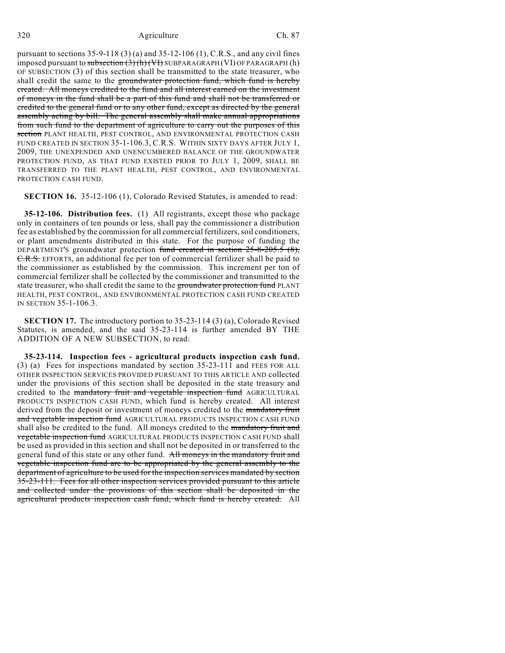pursuant to sections 35-9-118 (3) (a) and 35-12-106 (1), C.R.S., and any civil fines imposed pursuant to subsection  $(3)$  (h) (VI) SUBPARAGRAPH (VI) OF PARAGRAPH (h) OF SUBSECTION (3) of this section shall be transmitted to the state treasurer, who shall credit the same to the groundwater protection fund, which fund is hereby created. All moneys credited to the fund and all interest earned on the investment of moneys in the fund shall be a part of this fund and shall not be transferred or credited to the general fund or to any other fund, except as directed by the general assembly acting by bill. The general assembly shall make annual appropriations from such fund to the department of agriculture to carry out the purposes of this section PLANT HEALTH, PEST CONTROL, AND ENVIRONMENTAL PROTECTION CASH FUND CREATED IN SECTION 35-1-106.3, C.R.S. WITHIN SIXTY DAYS AFTER JULY 1, 2009, THE UNEXPENDED AND UNENCUMBERED BALANCE OF THE GROUNDWATER PROTECTION FUND, AS THAT FUND EXISTED PRIOR TO JULY 1, 2009, SHALL BE TRANSFERRED TO THE PLANT HEALTH, PEST CONTROL, AND ENVIRONMENTAL PROTECTION CASH FUND.

**SECTION 16.** 35-12-106 (1), Colorado Revised Statutes, is amended to read:

**35-12-106. Distribution fees.** (1) All registrants, except those who package only in containers of ten pounds or less, shall pay the commissioner a distribution fee as established by the commission for all commercial fertilizers, soil conditioners, or plant amendments distributed in this state. For the purpose of funding the DEPARTMENT'S groundwater protection fund created in section 25-8-205.5 (8), C.R.S. EFFORTS, an additional fee per ton of commercial fertilizer shall be paid to the commissioner as established by the commission. This increment per ton of commercial fertilizer shall be collected by the commissioner and transmitted to the state treasurer, who shall credit the same to the groundwater protection fund PLANT HEALTH, PEST CONTROL, AND ENVIRONMENTAL PROTECTION CASH FUND CREATED IN SECTION 35-1-106.3.

**SECTION 17.** The introductory portion to 35-23-114 (3) (a), Colorado Revised Statutes, is amended, and the said 35-23-114 is further amended BY THE ADDITION OF A NEW SUBSECTION, to read:

**35-23-114. Inspection fees - agricultural products inspection cash fund.** (3) (a) Fees for inspections mandated by section 35-23-111 and FEES FOR ALL OTHER INSPECTION SERVICES PROVIDED PURSUANT TO THIS ARTICLE AND collected under the provisions of this section shall be deposited in the state treasury and credited to the mandatory fruit and vegetable inspection fund AGRICULTURAL PRODUCTS INSPECTION CASH FUND, which fund is hereby created. All interest derived from the deposit or investment of moneys credited to the mandatory fruit and vegetable inspection fund AGRICULTURAL PRODUCTS INSPECTION CASH FUND shall also be credited to the fund. All moneys credited to the mandatory fruit and **vegetable inspection fund** AGRICULTURAL PRODUCTS INSPECTION CASH FUND shall be used as provided in this section and shall not be deposited in or transferred to the general fund of this state or any other fund. All moneys in the mandatory fruit and vegetable inspection fund are to be appropriated by the general assembly to the department of agriculture to be used for the inspection services mandated by section 35-23-111. Fees for all other inspection services provided pursuant to this article and collected under the provisions of this section shall be deposited in the agricultural products inspection cash fund, which fund is hereby created. All